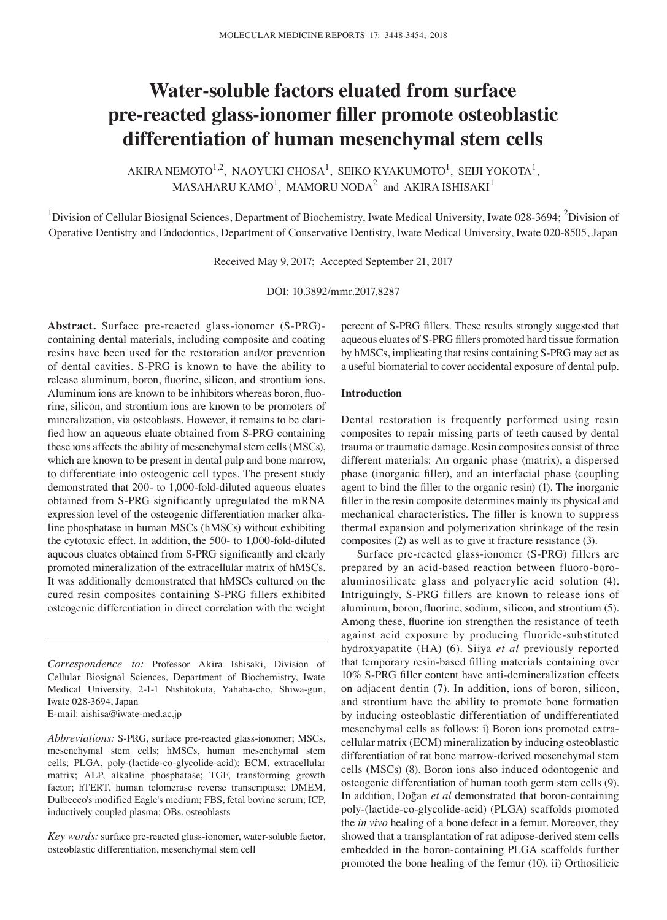# **Water‑soluble factors eluated from surface pre‑reacted glass‑ionomer filler promote osteoblastic differentiation of human mesenchymal stem cells**

AKIRA NEMOTO<sup>1,2</sup>, NAOYUKI CHOSA<sup>1</sup>, SEIKO KYAKUMOTO<sup>1</sup>, SEIJI YOKOTA<sup>1</sup>,  $\mathrm{MAS}$ AHARU KAMO $^{1}$ , MAMORU NODA $^{2}$  and AKIRA ISHISAKI $^{1}$ 

<sup>1</sup>Division of Cellular Biosignal Sciences, Department of Biochemistry, Iwate Medical University, Iwate 028-3694; <sup>2</sup>Division of Operative Dentistry and Endodontics, Department of Conservative Dentistry, Iwate Medical University, Iwate 020-8505, Japan

Received May 9, 2017; Accepted September 21, 2017

DOI: 10.3892/mmr.2017.8287

**Abstract.** Surface pre-reacted glass-ionomer (S-PRG) containing dental materials, including composite and coating resins have been used for the restoration and/or prevention of dental cavities. S-PRG is known to have the ability to release aluminum, boron, fluorine, silicon, and strontium ions. Aluminum ions are known to be inhibitors whereas boron, fluorine, silicon, and strontium ions are known to be promoters of mineralization, via osteoblasts. However, it remains to be clarified how an aqueous eluate obtained from S‑PRG containing these ions affects the ability of mesenchymal stem cells (MSCs), which are known to be present in dental pulp and bone marrow, to differentiate into osteogenic cell types. The present study demonstrated that 200‑ to 1,000‑fold‑diluted aqueous eluates obtained from S-PRG significantly upregulated the mRNA expression level of the osteogenic differentiation marker alkaline phosphatase in human MSCs (hMSCs) without exhibiting the cytotoxic effect. In addition, the 500- to 1,000-fold-diluted aqueous eluates obtained from S‑PRG significantly and clearly promoted mineralization of the extracellular matrix of hMSCs. It was additionally demonstrated that hMSCs cultured on the cured resin composites containing S-PRG fillers exhibited osteogenic differentiation in direct correlation with the weight

E-mail: aishisa@iwate-med.ac.jp

*Abbreviations:* S-PRG, surface pre-reacted glass-ionomer; MSCs, mesenchymal stem cells; hMSCs, human mesenchymal stem cells; PLGA, poly-(lactide-co-glycolide-acid); ECM, extracellular matrix; ALP, alkaline phosphatase; TGF, transforming growth factor; hTERT, human telomerase reverse transcriptase; DMEM, Dulbecco's modified Eagle's medium; FBS, fetal bovine serum; ICP, inductively coupled plasma; OBs, osteoblasts

*Key words:* surface pre-reacted glass-ionomer, water-soluble factor, osteoblastic differentiation, mesenchymal stem cell

percent of S‑PRG fillers. These results strongly suggested that aqueous eluates of S‑PRG fillers promoted hard tissue formation by hMSCs, implicating that resins containing S-PRG may act as a useful biomaterial to cover accidental exposure of dental pulp.

## **Introduction**

Dental restoration is frequently performed using resin composites to repair missing parts of teeth caused by dental trauma or traumatic damage. Resin composites consist of three different materials: An organic phase (matrix), a dispersed phase (inorganic filler), and an interfacial phase (coupling agent to bind the filler to the organic resin) (1). The inorganic filler in the resin composite determines mainly its physical and mechanical characteristics. The filler is known to suppress thermal expansion and polymerization shrinkage of the resin composites (2) as well as to give it fracture resistance (3).

Surface pre-reacted glass-ionomer (S-PRG) fillers are prepared by an acid-based reaction between fluoro-boroaluminosilicate glass and polyacrylic acid solution (4). Intriguingly, S-PRG fillers are known to release ions of aluminum, boron, fluorine, sodium, silicon, and strontium (5). Among these, fluorine ion strengthen the resistance of teeth against acid exposure by producing fluoride-substituted hydroxyapatite (HA) (6). Siiya *et al* previously reported that temporary resin‑based filling materials containing over 10% S‑PRG filler content have anti‑demineralization effects on adjacent dentin (7). In addition, ions of boron, silicon, and strontium have the ability to promote bone formation by inducing osteoblastic differentiation of undifferentiated mesenchymal cells as follows: i) Boron ions promoted extracellular matrix (ECM) mineralization by inducing osteoblastic differentiation of rat bone marrow-derived mesenchymal stem cells (MSCs) (8). Boron ions also induced odontogenic and osteogenic differentiation of human tooth germ stem cells (9). In addition, Doğan *et al* demonstrated that boron-containing poly-(lactide-co-glycolide-acid) (PLGA) scaffolds promoted the *in vivo* healing of a bone defect in a femur. Moreover, they showed that a transplantation of rat adipose-derived stem cells embedded in the boron-containing PLGA scaffolds further promoted the bone healing of the femur (10). ii) Orthosilicic

*Correspondence to:* Professor Akira Ishisaki, Division of Cellular Biosignal Sciences, Department of Biochemistry, Iwate Medical University, 2-1-1 Nishitokuta, Yahaba-cho, Shiwa-gun, Iwate 028-3694, Japan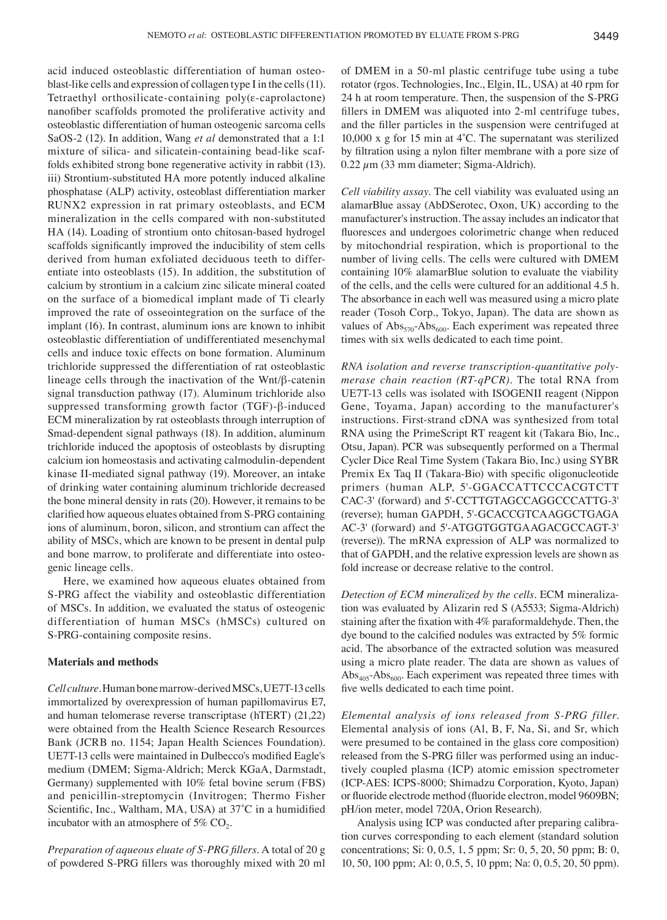acid induced osteoblastic differentiation of human osteoblast-like cells and expression of collagen type I in the cells(11). Tetraethyl orthosilicate-containing poly(ε-caprolactone) nanofiber scaffolds promoted the proliferative activity and osteoblastic differentiation of human osteogenic sarcoma cells SaOS-2 (12). In addition, Wang *et al* demonstrated that a 1:1 mixture of silica- and silicatein-containing bead-like scaffolds exhibited strong bone regenerative activity in rabbit (13). iii) Strontium-substituted HA more potently induced alkaline phosphatase (ALP) activity, osteoblast differentiation marker RUNX2 expression in rat primary osteoblasts, and ECM mineralization in the cells compared with non-substituted HA (14). Loading of strontium onto chitosan-based hydrogel scaffolds significantly improved the inducibility of stem cells derived from human exfoliated deciduous teeth to differentiate into osteoblasts (15). In addition, the substitution of calcium by strontium in a calcium zinc silicate mineral coated on the surface of a biomedical implant made of Ti clearly improved the rate of osseointegration on the surface of the implant (16). In contrast, aluminum ions are known to inhibit osteoblastic differentiation of undifferentiated mesenchymal cells and induce toxic effects on bone formation. Aluminum trichloride suppressed the differentiation of rat osteoblastic lineage cells through the inactivation of the Wnt/β-catenin signal transduction pathway (17). Aluminum trichloride also suppressed transforming growth factor (TGF)-β-induced ECM mineralization by rat osteoblasts through interruption of Smad-dependent signal pathways (18). In addition, aluminum trichloride induced the apoptosis of osteoblasts by disrupting calcium ion homeostasis and activating calmodulin-dependent kinase II-mediated signal pathway (19). Moreover, an intake of drinking water containing aluminum trichloride decreased the bone mineral density in rats (20). However, it remains to be clarified how aqueous eluates obtained from S‑PRG containing ions of aluminum, boron, silicon, and strontium can affect the ability of MSCs, which are known to be present in dental pulp and bone marrow, to proliferate and differentiate into osteogenic lineage cells.

Here, we examined how aqueous eluates obtained from S-PRG affect the viability and osteoblastic differentiation of MSCs. In addition, we evaluated the status of osteogenic differentiation of human MSCs (hMSCs) cultured on S-PRG-containing composite resins.

### **Materials and methods**

*Cell culture.* Human bone marrow-derived MSCs, UE7T-13 cells immortalized by overexpression of human papillomavirus E7, and human telomerase reverse transcriptase (hTERT) (21,22) were obtained from the Health Science Research Resources Bank (JCRB no. 1154; Japan Health Sciences Foundation). UE7T‑13 cells were maintained in Dulbecco's modified Eagle's medium (DMEM; Sigma-Aldrich; Merck KGaA, Darmstadt, Germany) supplemented with 10% fetal bovine serum (FBS) and penicillin-streptomycin (Invitrogen; Thermo Fisher Scientific, Inc., Waltham, MA, USA) at 37˚C in a humidified incubator with an atmosphere of 5%  $CO<sub>2</sub>$ .

*Preparation of aqueous eluate of S‑PRG fillers.* A total of 20 g of powdered S‑PRG fillers was thoroughly mixed with 20 ml of DMEM in a 50-ml plastic centrifuge tube using a tube rotator (rgos. Technologies, Inc., Elgin, IL, USA) at 40 rpm for 24 h at room temperature. Then, the suspension of the S-PRG fillers in DMEM was aliquoted into 2-ml centrifuge tubes, and the filler particles in the suspension were centrifuged at 10,000 x g for 15 min at 4˚C. The supernatant was sterilized by filtration using a nylon filter membrane with a pore size of  $0.22 \mu$ m (33 mm diameter; Sigma-Aldrich).

*Cell viability assay.* The cell viability was evaluated using an alamarBlue assay (AbDSerotec, Oxon, UK) according to the manufacturer's instruction. The assay includes an indicator that fluoresces and undergoes colorimetric change when reduced by mitochondrial respiration, which is proportional to the number of living cells. The cells were cultured with DMEM containing 10% alamarBlue solution to evaluate the viability of the cells, and the cells were cultured for an additional 4.5 h. The absorbance in each well was measured using a micro plate reader (Tosoh Corp., Tokyo, Japan). The data are shown as values of  $Abs_{570}$ - $Abs_{600}$ . Each experiment was repeated three times with six wells dedicated to each time point.

*RNA isolation and reverse transcription‑quantitative poly‑ merase chain reaction (RT‑qPCR).* The total RNA from UE7T-13 cells was isolated with ISOGENII reagent (Nippon Gene, Toyama, Japan) according to the manufacturer's instructions. First-strand cDNA was synthesized from total RNA using the PrimeScript RT reagent kit (Takara Bio, Inc., Otsu, Japan). PCR was subsequently performed on a Thermal Cycler Dice Real Time System (Takara Bio, Inc.) using SYBR Premix Ex Taq II (Takara-Bio) with specific oligonucleotide primers (human ALP, 5'-GGACCATTCCCACGTCTT CAC-3' (forward) and 5'-CCTTGTAGCCAGGCCCATTG-3' (reverse); human GAPDH, 5'-GCACCGTCAAGGCTGAGA AC-3' (forward) and 5'-ATGGTGGTGAAGACGCCAGT-3' (reverse)). The mRNA expression of ALP was normalized to that of GAPDH, and the relative expression levels are shown as fold increase or decrease relative to the control.

*Detection of ECM mineralized by the cells.* ECM mineralization was evaluated by Alizarin red S (A5533; Sigma-Aldrich) staining after the fixation with 4% paraformaldehyde. Then, the dye bound to the calcified nodules was extracted by 5% formic acid. The absorbance of the extracted solution was measured using a micro plate reader. The data are shown as values of  $\text{Abs}_{405}$ -Abs<sub>600</sub>. Each experiment was repeated three times with five wells dedicated to each time point.

*Elemental analysis of ions released from S‑PRG filler.*  Elemental analysis of ions (Al, B, F, Na, Si, and Sr, which were presumed to be contained in the glass core composition) released from the S‑PRG filler was performed using an inductively coupled plasma (ICP) atomic emission spectrometer (ICP-AES: ICPS-8000; Shimadzu Corporation, Kyoto, Japan) or fluoride electrode method (fluoride electron, model 9609BN; pH/ion meter, model 720A, Orion Research).

Analysis using ICP was conducted after preparing calibration curves corresponding to each element (standard solution concentrations; Si: 0, 0.5, 1, 5 ppm; Sr: 0, 5, 20, 50 ppm; B: 0, 10, 50, 100 ppm; Al: 0, 0.5, 5, 10 ppm; Na: 0, 0.5, 20, 50 ppm).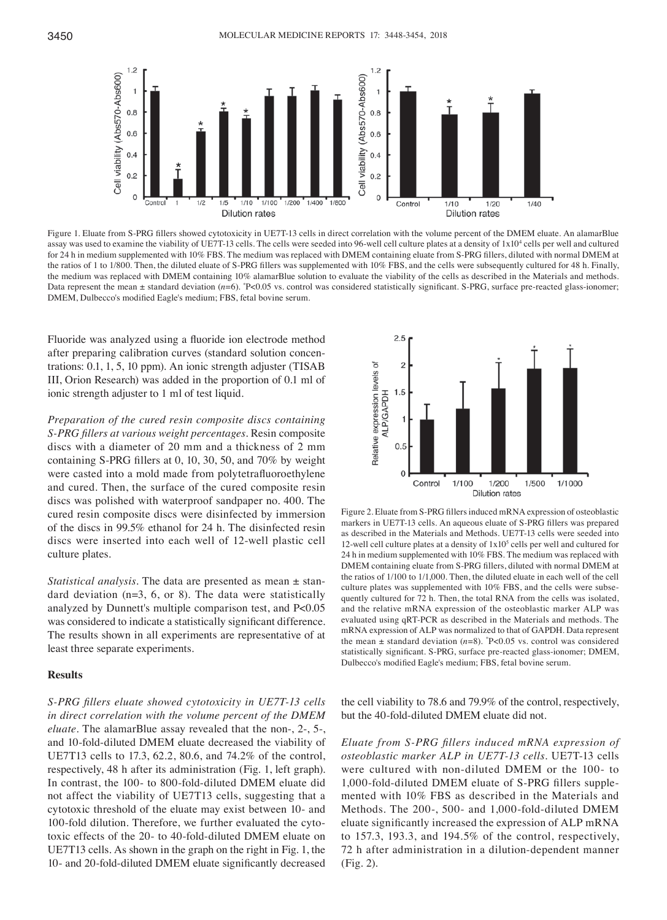

Figure 1. Eluate from S-PRG fillers showed cytotoxicity in UE7T-13 cells in direct correlation with the volume percent of the DMEM eluate. An alamarBlue assay was used to examine the viability of UE7T-13 cells. The cells were seeded into 96-well cell culture plates at a density of  $1x10<sup>4</sup>$  cells per well and cultured for 24 h in medium supplemented with 10% FBS. The medium was replaced with DMEM containing eluate from S‑PRG fillers, diluted with normal DMEM at the ratios of 1 to 1/800. Then, the diluted eluate of S-PRG fillers was supplemented with 10% FBS, and the cells were subsequently cultured for 48 h. Finally, the medium was replaced with DMEM containing 10% alamarBlue solution to evaluate the viability of the cells as described in the Materials and methods. Data represent the mean ± standard deviation (*n*=6). \*P<0.05 vs. control was considered statistically significant. S-PRG, surface pre-reacted glass-ionomer; DMEM, Dulbecco's modified Eagle's medium; FBS, fetal bovine serum.

Fluoride was analyzed using a fluoride ion electrode method after preparing calibration curves (standard solution concentrations: 0.1, 1, 5, 10 ppm). An ionic strength adjuster (TISAB III, Orion Research) was added in the proportion of 0.1 ml of ionic strength adjuster to 1 ml of test liquid.

*Preparation of the cured resin composite discs containing S‑PRG fillers at various weight percentages.* Resin composite discs with a diameter of 20 mm and a thickness of 2 mm containing S‑PRG fillers at 0, 10, 30, 50, and 70% by weight were casted into a mold made from polytetrafluoroethylene and cured. Then, the surface of the cured composite resin discs was polished with waterproof sandpaper no. 400. The cured resin composite discs were disinfected by immersion of the discs in 99.5% ethanol for 24 h. The disinfected resin discs were inserted into each well of 12-well plastic cell culture plates.

*Statistical analysis.* The data are presented as mean ± standard deviation  $(n=3, 6, or 8)$ . The data were statistically analyzed by Dunnett's multiple comparison test, and P<0.05 was considered to indicate a statistically significant difference. The results shown in all experiments are representative of at least three separate experiments.

# **Results**

*S‑PRG fillers eluate showed cytotoxicity in UE7T‑13 cells in direct correlation with the volume percent of the DMEM eluate.* The alamarBlue assay revealed that the non-, 2-, 5-, and 10-fold-diluted DMEM eluate decreased the viability of UE7T13 cells to 17.3, 62.2, 80.6, and 74.2% of the control, respectively, 48 h after its administration (Fig. 1, left graph). In contrast, the 100- to 800-fold-diluted DMEM eluate did not affect the viability of UE7T13 cells, suggesting that a cytotoxic threshold of the eluate may exist between 10- and 100-fold dilution. Therefore, we further evaluated the cytotoxic effects of the 20- to 40-fold-diluted DMEM eluate on UE7T13 cells. As shown in the graph on the right in Fig. 1, the 10‑ and 20‑fold‑diluted DMEM eluate significantly decreased



Figure 2. Eluate from S‑PRG fillers induced mRNA expression of osteoblastic markers in UE7T‑13 cells. An aqueous eluate of S‑PRG fillers was prepared as described in the Materials and Methods. UE7T-13 cells were seeded into 12-well cell culture plates at a density of  $1x10<sup>5</sup>$  cells per well and cultured for 24 h in medium supplemented with 10% FBS. The medium was replaced with DMEM containing eluate from S‑PRG fillers, diluted with normal DMEM at the ratios of 1/100 to 1/1,000. Then, the diluted eluate in each well of the cell culture plates was supplemented with 10% FBS, and the cells were subsequently cultured for 72 h. Then, the total RNA from the cells was isolated, and the relative mRNA expression of the osteoblastic marker ALP was evaluated using qRT‑PCR as described in the Materials and methods. The mRNA expression of ALP was normalized to that of GAPDH. Data represent the mean  $\pm$  standard deviation ( $n=8$ ).  $\degree$ P<0.05 vs. control was considered statistically significant. S‑PRG, surface pre‑reacted glass‑ionomer; DMEM, Dulbecco's modified Eagle's medium; FBS, fetal bovine serum.

the cell viability to 78.6 and 79.9% of the control, respectively, but the 40-fold-diluted DMEM eluate did not.

*Eluate from S‑PRG fillers induced mRNA expression of osteoblastic marker ALP in UE7T‑13 cells.* UE7T-13 cells were cultured with non-diluted DMEM or the 100- to 1,000‑fold‑diluted DMEM eluate of S‑PRG fillers supplemented with 10% FBS as described in the Materials and Methods. The 200-, 500- and 1,000-fold-diluted DMEM eluate significantly increased the expression of ALP mRNA to 157.3, 193.3, and 194.5% of the control, respectively, 72 h after administration in a dilution-dependent manner (Fig. 2).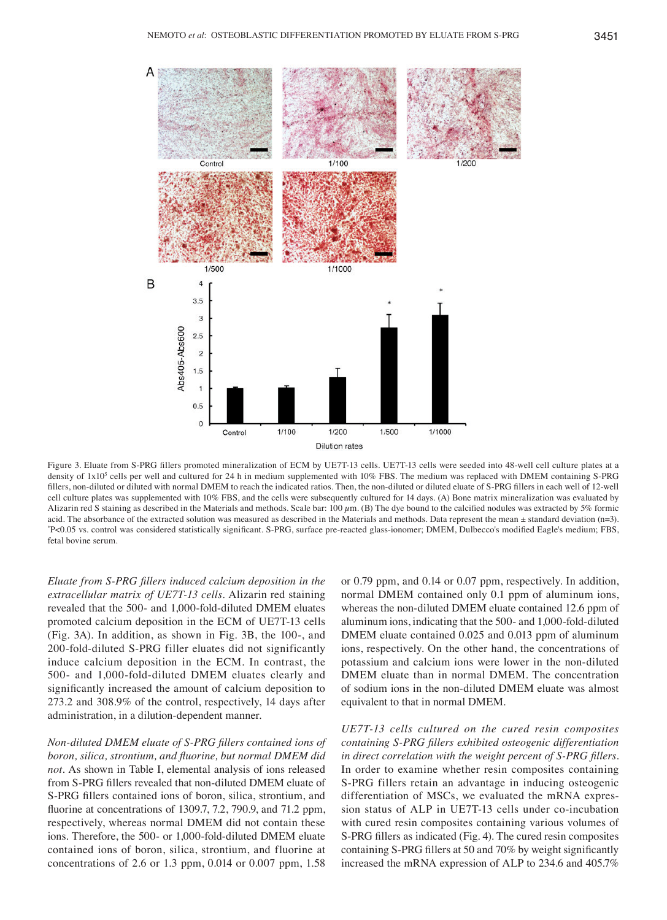

Figure 3. Eluate from S-PRG fillers promoted mineralization of ECM by UE7T-13 cells. UE7T-13 cells were seeded into 48-well cell culture plates at a density of 1x10<sup>5</sup> cells per well and cultured for 24 h in medium supplemented with 10% FBS. The medium was replaced with DMEM containing S-PRG fillers, non-diluted or diluted with normal DMEM to reach the indicated ratios. Then, the non-diluted or diluted eluate of S-PRG fillers in each well of 12-well cell culture plates was supplemented with 10% FBS, and the cells were subsequently cultured for 14 days. (A) Bone matrix mineralization was evaluated by Alizarin red S staining as described in the Materials and methods. Scale bar: 100  $\mu$ m. (B) The dye bound to the calcified nodules was extracted by 5% formic acid. The absorbance of the extracted solution was measured as described in the Materials and methods. Data represent the mean  $\pm$  standard deviation (n=3). P<0.05 vs. control was considered statistically significant. S‑PRG, surface pre‑reacted glass‑ionomer; DMEM, Dulbecco's modified Eagle's medium; FBS, fetal bovine serum.

*Eluate from S‑PRG fillers induced calcium deposition in the extracellular matrix of UE7T‑13 cells.* Alizarin red staining revealed that the 500- and 1,000-fold-diluted DMEM eluates promoted calcium deposition in the ECM of UE7T-13 cells (Fig. 3A). In addition, as shown in Fig. 3B, the 100-, and 200-fold-diluted S-PRG filler eluates did not significantly induce calcium deposition in the ECM. In contrast, the 500- and 1,000-fold-diluted DMEM eluates clearly and significantly increased the amount of calcium deposition to 273.2 and 308.9% of the control, respectively, 14 days after administration, in a dilution-dependent manner.

*Non‑diluted DMEM eluate of S‑PRG fillers contained ions of boron, silica, strontium, and fluorine, but normal DMEM did not.* As shown in Table I, elemental analysis of ions released from S‑PRG fillers revealed that non‑diluted DMEM eluate of S‑PRG fillers contained ions of boron, silica, strontium, and fluorine at concentrations of 1309.7, 7.2, 790.9, and 71.2 ppm, respectively, whereas normal DMEM did not contain these ions. Therefore, the 500- or 1,000-fold-diluted DMEM eluate contained ions of boron, silica, strontium, and fluorine at concentrations of 2.6 or 1.3 ppm, 0.014 or 0.007 ppm, 1.58

or 0.79 ppm, and 0.14 or 0.07 ppm, respectively. In addition, normal DMEM contained only 0.1 ppm of aluminum ions, whereas the non-diluted DMEM eluate contained 12.6 ppm of aluminum ions, indicating that the 500- and 1,000-fold-diluted DMEM eluate contained 0.025 and 0.013 ppm of aluminum ions, respectively. On the other hand, the concentrations of potassium and calcium ions were lower in the non-diluted DMEM eluate than in normal DMEM. The concentration of sodium ions in the non-diluted DMEM eluate was almost equivalent to that in normal DMEM.

*UE7T‑13 cells cultured on the cured resin composites containing S‑PRG fillers exhibited osteogenic differentiation in direct correlation with the weight percent of S‑PRG fillers.*  In order to examine whether resin composites containing S-PRG fillers retain an advantage in inducing osteogenic differentiation of MSCs, we evaluated the mRNA expression status of ALP in UE7T-13 cells under co-incubation with cured resin composites containing various volumes of S‑PRG fillers as indicated (Fig. 4). The cured resin composites containing S‑PRG fillers at 50 and 70% by weight significantly increased the mRNA expression of ALP to 234.6 and 405.7%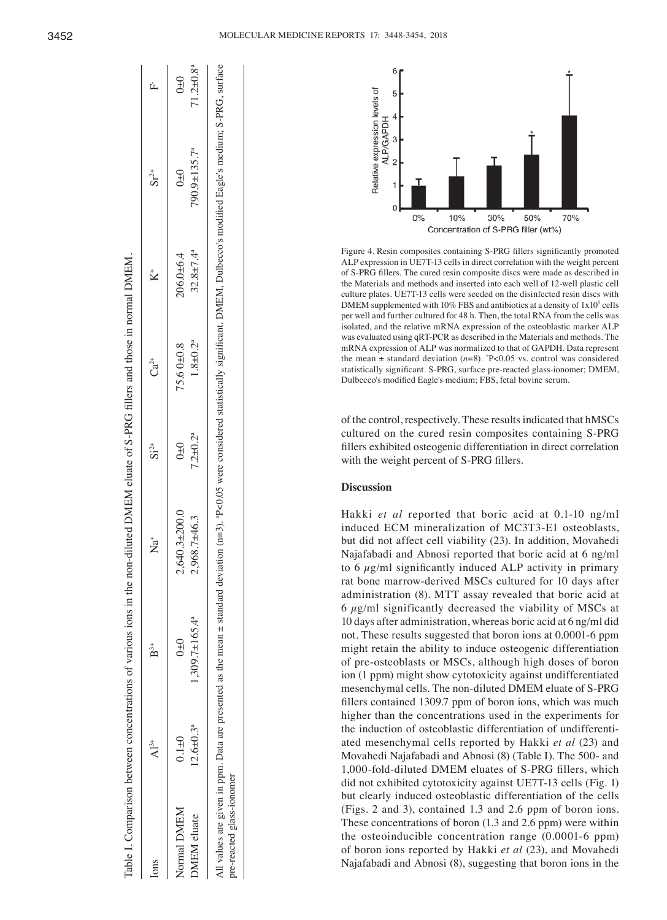| 3452 |  |
|------|--|
|      |  |

| ons         | $\mathrm{Al}^{3+}$          | $\mathbf{B}^{3+}$               | `≠<br>Z             | $Si^{2+}$     | $Ca^{2+}$     |                             | $Sr^{2+}$                 | ⋭                           |
|-------------|-----------------------------|---------------------------------|---------------------|---------------|---------------|-----------------------------|---------------------------|-----------------------------|
| Normal DMEM | $0.1 + 0$                   | $0+0$                           | $2,640.3 \pm 200.0$ | $0\pm 0$      | 75.60±0.8     | $206.0 + 6.4$               | $0\pm0$                   | $0\pm 0$                    |
| DMEM eluate | $12.6 \pm 0.3$ <sup>a</sup> | $,309.7 \pm 165.4$ <sup>a</sup> | 2,968.7±46.3        | $7.2 + 0.2^a$ | $1.8 + 0.2^a$ | $32.8 \pm 7.4$ <sup>a</sup> | $790.9 \pm 135.7^{\circ}$ | $71.2 \pm 0.8$ <sup>a</sup> |



Figure 4. Resin composites containing S‑PRG fillers significantly promoted ALP expression in UE7T-13 cells in direct correlation with the weight percent of S‑PRG fillers. The cured resin composite discs were made as described in the Materials and methods and inserted into each well of 12-well plastic cell culture plates. UE7T-13 cells were seeded on the disinfected resin discs with DMEM supplemented with  $10\%$  FBS and antibiotics at a density of  $1x10<sup>5</sup>$  cells per well and further cultured for 48 h. Then, the total RNA from the cells was isolated, and the relative mRNA expression of the osteoblastic marker ALP was evaluated using qRT‑PCR as described in the Materials and methods. The mRNA expression of ALP was normalized to that of GAPDH. Data represent the mean  $\pm$  standard deviation ( $n=8$ ).  $\degree$ P<0.05 vs. control was considered statistically significant. S‑PRG, surface pre‑reacted glass‑ionomer; DMEM, Dulbecco's modified Eagle's medium; FBS, fetal bovine serum.

of the control, respectively. These results indicated that hMSCs cultured on the cured resin composites containing S-PRG fillers exhibited osteogenic differentiation in direct correlation with the weight percent of S-PRG fillers.

# **Discussion**

Hakki *et al* reported that boric acid at 0.1-10 ng/ml induced ECM mineralization of MC3T3-E1 osteoblasts, but did not affect cell viability (23). In addition, Movahedi Najafabadi and Abnosi reported that boric acid at 6 ng/ml to 6  $\mu$ g/ml significantly induced ALP activity in primary rat bone marrow-derived MSCs cultured for 10 days after administration (8). MTT assay revealed that boric acid at  $6 \mu$ g/ml significantly decreased the viability of MSCs at 10 days after administration, whereas boric acid at 6 ng/ml did not. These results suggested that boron ions at 0.0001-6 ppm might retain the ability to induce osteogenic differentiation of pre-osteoblasts or MSCs, although high doses of boron ion (1 ppm) might show cytotoxicity against undifferentiated mesenchymal cells. The non-diluted DMEM eluate of S-PRG fillers contained 1309.7 ppm of boron ions, which was much higher than the concentrations used in the experiments for the induction of osteoblastic differentiation of undifferentiated mesenchymal cells reported by Hakki *et al* (23) and Movahedi Najafabadi and Abnosi (8) (Table I). The 500- and 1,000‑fold‑diluted DMEM eluates of S‑PRG fillers, which did not exhibited cytotoxicity against UE7T-13 cells (Fig. 1) but clearly induced osteoblastic differentiation of the cells (Figs. 2 and 3), contained 1.3 and 2.6 ppm of boron ions. These concentrations of boron (1.3 and 2.6 ppm) were within the osteoinducible concentration range (0.0001-6 ppm) of boron ions reported by Hakki *et al* (23), and Movahedi Najafabadi and Abnosi (8), suggesting that boron ions in the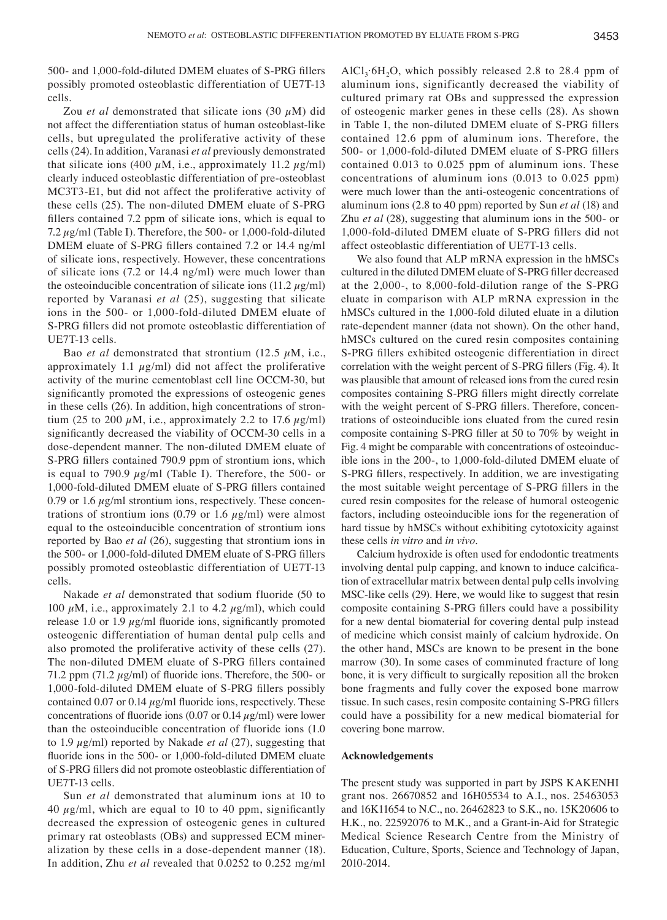500‑ and 1,000‑fold‑diluted DMEM eluates of S‑PRG fillers possibly promoted osteoblastic differentiation of UE7T-13 cells.

Zou *et al* demonstrated that silicate ions  $(30 \mu M)$  did not affect the differentiation status of human osteoblast-like cells, but upregulated the proliferative activity of these cells (24). In addition, Varanasi *et al* previously demonstrated that silicate ions (400  $\mu$ M, i.e., approximately 11.2  $\mu$ g/ml) clearly induced osteoblastic differentiation of pre-osteoblast MC3T3-E1, but did not affect the proliferative activity of these cells (25). The non-diluted DMEM eluate of S-PRG fillers contained 7.2 ppm of silicate ions, which is equal to 7.2  $\mu$ g/ml (Table I). Therefore, the 500- or 1,000-fold-diluted DMEM eluate of S‑PRG fillers contained 7.2 or 14.4 ng/ml of silicate ions, respectively. However, these concentrations of silicate ions (7.2 or 14.4 ng/ml) were much lower than the osteoinducible concentration of silicate ions  $(11.2 \mu g/ml)$ reported by Varanasi *et al* (25), suggesting that silicate ions in the 500- or 1,000-fold-diluted DMEM eluate of S‑PRG fillers did not promote osteoblastic differentiation of UE7T-13 cells.

Bao *et al* demonstrated that strontium (12.5  $\mu$ M, i.e., approximately 1.1  $\mu$ g/ml) did not affect the proliferative activity of the murine cementoblast cell line OCCM-30, but significantly promoted the expressions of osteogenic genes in these cells (26). In addition, high concentrations of strontium (25 to 200  $\mu$ M, i.e., approximately 2.2 to 17.6  $\mu$ g/ml) significantly decreased the viability of OCCM‑30 cells in a dose-dependent manner. The non-diluted DMEM eluate of S-PRG fillers contained 790.9 ppm of strontium ions, which is equal to 790.9  $\mu$ g/ml (Table I). Therefore, the 500- or 1,000‑fold‑diluted DMEM eluate of S‑PRG fillers contained 0.79 or 1.6  $\mu$ g/ml strontium ions, respectively. These concentrations of strontium ions (0.79 or 1.6  $\mu$ g/ml) were almost equal to the osteoinducible concentration of strontium ions reported by Bao *et al* (26), suggesting that strontium ions in the 500- or 1,000-fold-diluted DMEM eluate of S-PRG fillers possibly promoted osteoblastic differentiation of UE7T-13 cells.

Nakade *et al* demonstrated that sodium fluoride (50 to 100  $\mu$ M, i.e., approximately 2.1 to 4.2  $\mu$ g/ml), which could release 1.0 or 1.9  $\mu$ g/ml fluoride ions, significantly promoted osteogenic differentiation of human dental pulp cells and also promoted the proliferative activity of these cells (27). The non-diluted DMEM eluate of S-PRG fillers contained 71.2 ppm (71.2  $\mu$ g/ml) of fluoride ions. Therefore, the 500- or 1,000‑fold‑diluted DMEM eluate of S‑PRG fillers possibly contained 0.07 or 0.14  $\mu$ g/ml fluoride ions, respectively. These concentrations of fluoride ions (0.07 or 0.14  $\mu$ g/ml) were lower than the osteoinducible concentration of fluoride ions (1.0 to 1.9 µg/ml) reported by Nakade *et al* (27), suggesting that fluoride ions in the 500- or 1,000-fold-diluted DMEM eluate of S‑PRG fillers did not promote osteoblastic differentiation of UE7T-13 cells.

Sun *et al* demonstrated that aluminum ions at 10 to 40  $\mu$ g/ml, which are equal to 10 to 40 ppm, significantly decreased the expression of osteogenic genes in cultured primary rat osteoblasts (OBs) and suppressed ECM mineralization by these cells in a dose-dependent manner (18). In addition, Zhu *et al* revealed that 0.0252 to 0.252 mg/ml AlCl<sub>3</sub>·6H<sub>2</sub>O, which possibly released 2.8 to 28.4 ppm of aluminum ions, significantly decreased the viability of cultured primary rat OBs and suppressed the expression of osteogenic marker genes in these cells (28). As shown in Table I, the non-diluted DMEM eluate of S-PRG fillers contained 12.6 ppm of aluminum ions. Therefore, the 500‑ or 1,000‑fold‑diluted DMEM eluate of S‑PRG fillers contained 0.013 to 0.025 ppm of aluminum ions. These concentrations of aluminum ions (0.013 to 0.025 ppm) were much lower than the anti-osteogenic concentrations of aluminum ions (2.8 to 40 ppm) reported by Sun *et al* (18) and Zhu *et al* (28), suggesting that aluminum ions in the 500- or 1,000‑fold‑diluted DMEM eluate of S‑PRG fillers did not affect osteoblastic differentiation of UE7T-13 cells.

We also found that ALP mRNA expression in the hMSCs cultured in the diluted DMEM eluate of S‑PRG filler decreased at the 2,000-, to 8,000-fold-dilution range of the S-PRG eluate in comparison with ALP mRNA expression in the hMSCs cultured in the 1,000-fold diluted eluate in a dilution rate-dependent manner (data not shown). On the other hand, hMSCs cultured on the cured resin composites containing S‑PRG fillers exhibited osteogenic differentiation in direct correlation with the weight percent of S‑PRG fillers (Fig. 4). It was plausible that amount of released ions from the cured resin composites containing S‑PRG fillers might directly correlate with the weight percent of S-PRG fillers. Therefore, concentrations of osteoinducible ions eluated from the cured resin composite containing S‑PRG filler at 50 to 70% by weight in Fig. 4 might be comparable with concentrations of osteoinducible ions in the 200-, to 1,000-fold-diluted DMEM eluate of S-PRG fillers, respectively. In addition, we are investigating the most suitable weight percentage of S‑PRG fillers in the cured resin composites for the release of humoral osteogenic factors, including osteoinducible ions for the regeneration of hard tissue by hMSCs without exhibiting cytotoxicity against these cells *in vitro* and *in vivo*.

Calcium hydroxide is often used for endodontic treatments involving dental pulp capping, and known to induce calcification of extracellular matrix between dental pulp cells involving MSC-like cells (29). Here, we would like to suggest that resin composite containing S‑PRG fillers could have a possibility for a new dental biomaterial for covering dental pulp instead of medicine which consist mainly of calcium hydroxide. On the other hand, MSCs are known to be present in the bone marrow (30). In some cases of comminuted fracture of long bone, it is very difficult to surgically reposition all the broken bone fragments and fully cover the exposed bone marrow tissue. In such cases, resin composite containing S‑PRG fillers could have a possibility for a new medical biomaterial for covering bone marrow.

#### **Acknowledgements**

The present study was supported in part by JSPS KAKENHI grant nos. 26670852 and 16H05534 to A.I., nos. 25463053 and 16K11654 to N.C., no. 26462823 to S.K., no. 15K20606 to H.K., no. 22592076 to M.K., and a Grant-in-Aid for Strategic Medical Science Research Centre from the Ministry of Education, Culture, Sports, Science and Technology of Japan, 2010-2014.